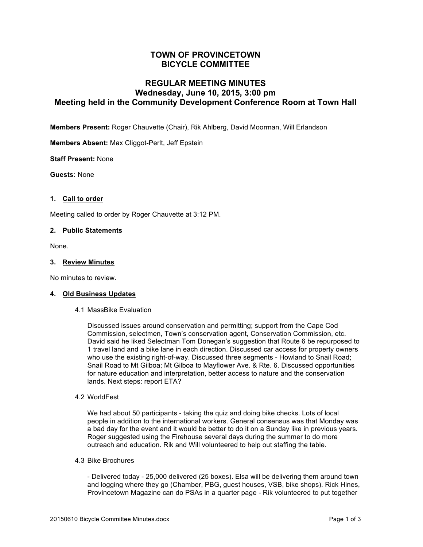# **TOWN OF PROVINCETOWN BICYCLE COMMITTEE**

# **REGULAR MEETING MINUTES Wednesday, June 10, 2015, 3:00 pm Meeting held in the Community Development Conference Room at Town Hall**

**Members Present:** Roger Chauvette (Chair), Rik Ahlberg, David Moorman, Will Erlandson

**Members Absent:** Max Cliggot-Perlt, Jeff Epstein

**Staff Present:** None

**Guests:** None

## **1. Call to order**

Meeting called to order by Roger Chauvette at 3:12 PM.

## **2. Public Statements**

None.

## **3. Review Minutes**

No minutes to review.

#### **4. Old Business Updates**

4.1 MassBike Evaluation

Discussed issues around conservation and permitting; support from the Cape Cod Commission, selectmen, Town's conservation agent, Conservation Commission, etc. David said he liked Selectman Tom Donegan's suggestion that Route 6 be repurposed to 1 travel land and a bike lane in each direction. Discussed car access for property owners who use the existing right-of-way. Discussed three segments - Howland to Snail Road; Snail Road to Mt Gilboa; Mt Gilboa to Mayflower Ave. & Rte. 6. Discussed opportunities for nature education and interpretation, better access to nature and the conservation lands. Next steps: report ETA?

4.2 WorldFest

We had about 50 participants - taking the quiz and doing bike checks. Lots of local people in addition to the international workers. General consensus was that Monday was a bad day for the event and it would be better to do it on a Sunday like in previous years. Roger suggested using the Firehouse several days during the summer to do more outreach and education. Rik and Will volunteered to help out staffing the table.

4.3 Bike Brochures

- Delivered today - 25,000 delivered (25 boxes). Elsa will be delivering them around town and logging where they go (Chamber, PBG, guest houses, VSB, bike shops). Rick Hines, Provincetown Magazine can do PSAs in a quarter page - Rik volunteered to put together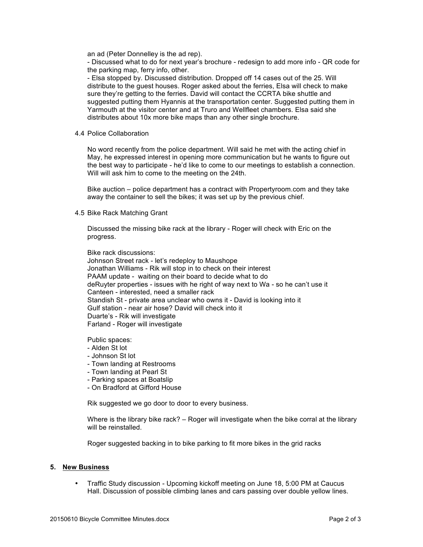an ad (Peter Donnelley is the ad rep).

- Discussed what to do for next year's brochure - redesign to add more info - QR code for the parking map, ferry info, other.

- Elsa stopped by. Discussed distribution. Dropped off 14 cases out of the 25. Will distribute to the guest houses. Roger asked about the ferries, Elsa will check to make sure they're getting to the ferries. David will contact the CCRTA bike shuttle and suggested putting them Hyannis at the transportation center. Suggested putting them in Yarmouth at the visitor center and at Truro and Wellfleet chambers. Elsa said she distributes about 10x more bike maps than any other single brochure.

4.4 Police Collaboration

No word recently from the police department. Will said he met with the acting chief in May, he expressed interest in opening more communication but he wants to figure out the best way to participate - he'd like to come to our meetings to establish a connection. Will will ask him to come to the meeting on the 24th.

Bike auction – police department has a contract with Propertyroom.com and they take away the container to sell the bikes; it was set up by the previous chief.

4.5 Bike Rack Matching Grant

Discussed the missing bike rack at the library - Roger will check with Eric on the progress.

Bike rack discussions:

Johnson Street rack - let's redeploy to Maushope Jonathan Williams - Rik will stop in to check on their interest PAAM update - waiting on their board to decide what to do deRuyter properties - issues with he right of way next to Wa - so he can't use it Canteen - interested, need a smaller rack Standish St - private area unclear who owns it - David is looking into it Gulf station - near air hose? David will check into it Duarte's - Rik will investigate Farland - Roger will investigate

Public spaces:

- Alden St lot
- Johnson St lot
- Town landing at Restrooms
- Town landing at Pearl St
- Parking spaces at Boatslip
- On Bradford at Gifford House

Rik suggested we go door to door to every business.

Where is the library bike rack? – Roger will investigate when the bike corral at the library will be reinstalled.

Roger suggested backing in to bike parking to fit more bikes in the grid racks

## **5. New Business**

• Traffic Study discussion - Upcoming kickoff meeting on June 18, 5:00 PM at Caucus Hall. Discussion of possible climbing lanes and cars passing over double yellow lines.